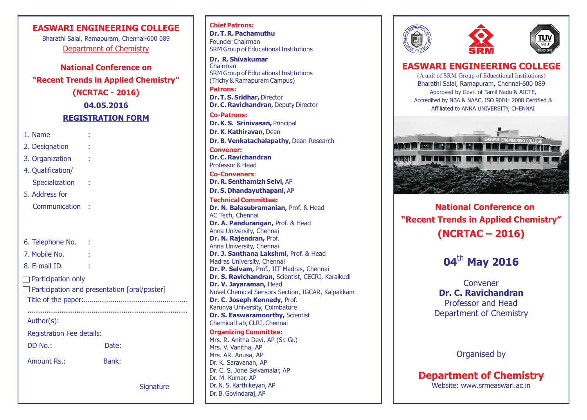### **EASWARI ENGINEERING COLLEGE**

Department of Chemistry Bharathi Salai, Ramapuram, Chennai-600 089

**National Conference on "Recent Trends in Applied Chemistry'' (NCRTAC - 2016) 04.05.2016 REGISTRATION FORM**

1. Name :

- 2. Designation
- 3. Organization :
- 4. Qualification/
- Specialization :
- 5. Address for
	- Communication :

6. Telephone No. : 7. Mobile No. : 8. E-mail ID. :  $\Box$  Participation only Participation and presentation [oral/poster] Title of the paper:.……………………………………………..

Author(s):

Registration Fee details:

Amount Rs.: Bank:

DD No.: Date:

...........................................................................

**Signature** 

**Chief Patrons: Dr. T. R. Pachamuthu** Founder Chairman SRM Group of Educational Institutions

**Patrons: Dr. R. Shivakumar** Chairman SRM Group of Educational Institutions (Trichy & Ramapuram Campus)

**Dr. T. S. Sridhar,** Director **Dr. C. Ravichandran,** Deputy Director

**Co-Patrons: Dr. K. S. Srinivasan,** Principal **Dr. K. Kathiravan,** Dean **Dr. B. Venkatachalapathy,** Dean-Research **Dr. C. Ravichandran** Professor & Head **Convener: Co-Conveners**:

**Dr. R. Senthamizh Selvi,** AP **Dr. S. Dhandayuthapani,** AP **Dr. N. Balasubramanian,** Prof. & Head AC Tech, Chennai **Dr. A. Pandurangan,** Prof. & Head Anna University, Chennai **Dr. N. Rajendran,** Prof. Anna University, Chennai **Dr. J. Santhana Lakshmi,** Prof. & Head Madras University, Chennai **Dr. P. Selvam,** Prof., IIT Madras, Chennai **Dr. S. Ravichandran,** Scientist, CECRI, Karaikudi **Dr. V. Jayaraman,** Head Novel Chemical Sensors Section, IGCAR, Kalpakkam **Dr. C. Joseph Kennedy,** Prof. Karunya University, Coimbatore **Dr. S. Easwaramoorthy, Scientist** Chemical Lab, CLRI, Chennai **Technical Committee:**

Mrs. R. Anitha Devi, AP (Sr. Gr.) Mrs. V. Vanitha, AP Mrs. AR. Anusa, AP Dr. K. Saravanan, AP Dr. C. S. Jone Selvamalar, AP Dr. M. Kumar, AP Dr. N. S. Karthikeyan, AP Dr. B. Govindaraj, AP **Organizing Committee:**





## **EASWARI ENGINEERING COLLEGE**

(A unit of SRM Group of Educational Institutions) Bharathi Salai, Ramapuram, Chennai-600 089 Approved by Govt. of Tamil Nadu & AICTE, Accredited by NBA & NAAC, ISO 9001: 2008 Certified & Affiliated to ANNA UNIVERSITY, CHENNAI



 **National Conference on "Recent Trends in Applied Chemistry" (NCRTAC – 2016)**

# 04<sup>th</sup> May 2016

Convener **Dr. C. Ravichandran** Professor and Head Department of Chemistry

Organised by

**Department of Chemistry**

Website: www.srmeaswari.ac.in